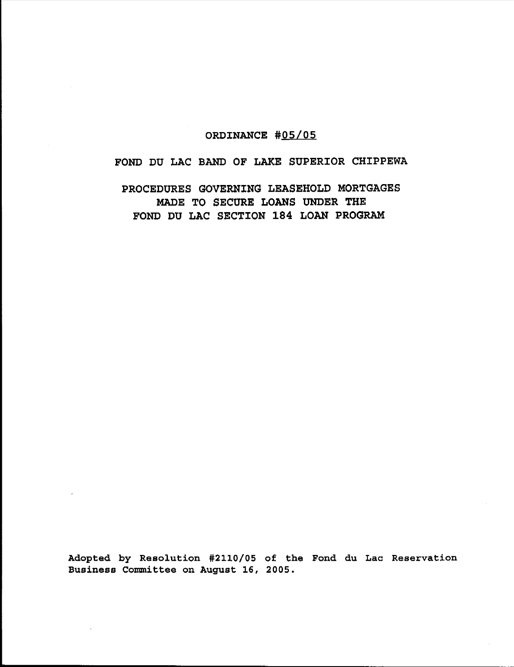# ORDINANCE #05/05

# FOND DU LAC BAND OF LAKE SUPERIOR CHIPPEWA

PROCEDURES GOVERNING LEASEHOLD MORTGAGES MADE TO SECURE LOANS UNDER THE FOND DU LAC SECTION 184 LOAN PROGRAM

Adopted by Resolution #2110/05 of the Fond du Lac Reservation Business Committee on August 16, 2005.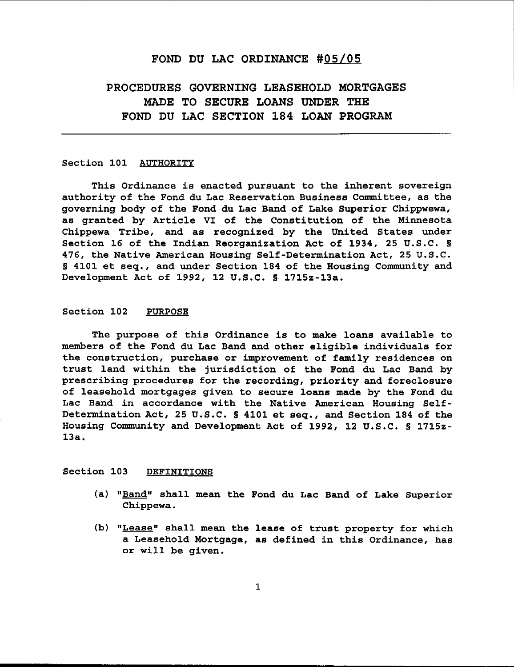# FOND DU LAC ORDINANCE #05/05

# PROCEDURES GOVERNING LEASEHOLD MORTGAGES MADE TO SECURE LOANS UNDER THE FOND DU LAC SECTION 184 LOAN PROGRAM

#### Section 101 AUTHORITY

This Ordinance is enacted pursuant to the inherent sovereign authority of the Fond du Lac Reservation Business Committee, as the governing body of the Fond du Lac Band of Lake Superior Chippwewa, as granted by Article VI of the Constitution of the Minnesota Chippewa Tribe, and as recognized by the United States under Section 16 of the Indian Reorganization Act of 1934, 25 U.S.C. § 476, the Native American Housing Self-Determination Act, 25 U.S.C. § 4101 et seq., and under Section 184 of the Housing Community and Development Act of 1992, 12 U.S.C. § 1715z-13a.

#### Section 102 PURPOSE

The purpose of this Ordinance is to make loans available to members of the Fond du Lac Band and other eligible individuals for the construction, purchase or improvement of family residences on trust land within the jurisdiction of the Fond du Lac Band by prescribing procedures for the recording, priority and foreclosure of leasehold mortgages given to secure loans made by the Fond du Lac Band in accordance with the Native American Housing Self-Determination Act, 25 U.S.C. § 4101 et seq., and Section 184 of the Housing Community and Development Act of 1992, 12 U.S.C. § 171Sz-13a.

#### Section 103 DEFINITIONS

- (a) "Band" shall mean the Fond du Lac Band of Lake Superior Chippewa.
- (b) "Lease" shall mean the lease of trust property for which <sup>a</sup> Leasehold Mortgage, as defined in this Ordinance, has or will be given.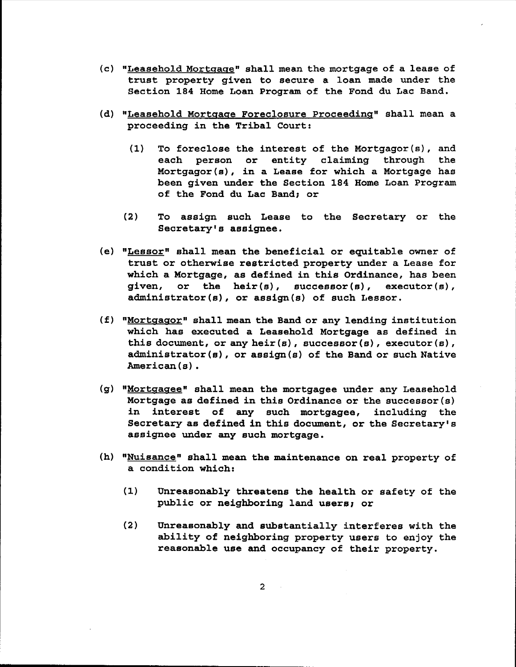- (c) "Leasehold Mortgage" shall mean the mortgage of <sup>a</sup> lease of trust property given to secure <sup>a</sup> loan made under the Section 184 Home Loan Program of the Fond du Lac Band.
- (d) "Leasehold Mortgage Foreclosure Proceeding" shall mean a proceeding in the Tribal Court:
	- (1) To foreclose the interest of the Mortgagor(s), and each person or entity claiming through the Mortgagor(s), in <sup>a</sup> Lease for which <sup>a</sup> Mortgage has been given under the Section 184 Home Loan Program of the Fond du Lac Band; or
	- (2) To assign such Lease to the Secretary or the Secretary's assignee.
- (e) "Lessor" shall mean the beneficial or equitable owner of trust or otherwise restricted property under <sup>a</sup> Lease for which <sup>a</sup> Mortgage, as defined in this Ordinance, has been given, or the heir(s), successor(s), executor(s), administrator(s), or assign(s) of such Lessor.
- (f) "Mortgagor" shall mean the Band or any lending institution which has executed a Leasehold Mortgage as defined in this document, or any heir(s), successor(s), executor(s), administrator (s), or assign (s) of the Band or such Native American(s).
- (g) "Mortgagee" shall mean the mortgagee under any Leasehold Mortgage as defined in this Ordinance or the successor (s) in interest of any such mortgagee, including the Secretary as defined in this document, or the Secretary's assignee under any such mortgage.
- (h) "Nuisance" shall mean the maintenance on real property of a condition which:
	- (1) Unreasonably threatens the health or safety of the public or neighboring land users; or
	- (2) Unreasonably and substantially interferes with the ability of neighboring property users to enjoy the reasonable use and occupancy of their property.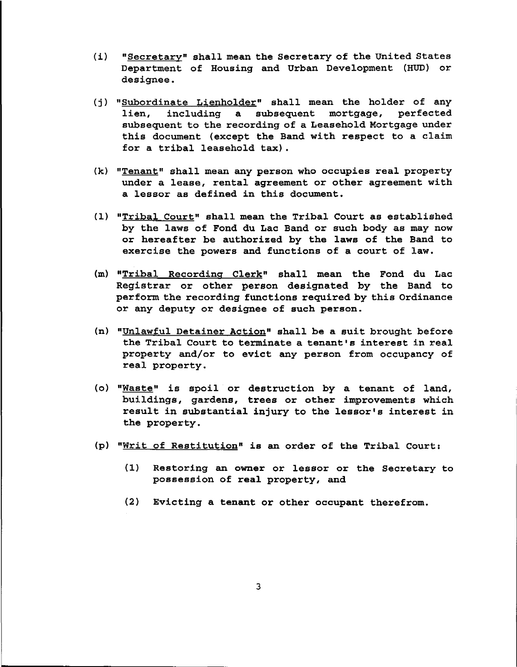- (i) "Secretary" shall mean the Secretary of the United States Department of Housing and Urban Development (HUD) or designee.
- (j) "Subordinate Lienholder" shall mean the holder of any lien, including a subsequent mortgage, perfected subsequent to the recording of a Leasehold Mortgage under this document (except the Band with respect to <sup>a</sup> claim for <sup>a</sup> tribal leasehold tax).
- (k) "Tenant" shall mean any person who occupies real property under a lease, rental agreement or other agreement with <sup>a</sup> lessor as defined in this document.
- (1) "Tribal Court" shall mean the Tribal Court as established by the laws of Fond du Lac Band or such body as may now or hereafter be authorized by the laws of the Band to exercise the powers and functions of a court of law.
- (m) "Tribal Recordinq Clerk" shall mean the Fond du Lac Registrar or other person designated by the Band to perform the recording functions required by this Ordinance or any deputy or designee of such person.
- (n) "Unlawful Detainer Action" shall be <sup>a</sup> suit brought before the Tribal Court to terminate <sup>a</sup> tenant's interest in real property and/or to evict any person from occupancy of real property.
- (0) "Waste" is spoil or destruction by <sup>a</sup> tenant of land, buildings, gardens, trees or other improvements which result in substantial injury to the lessor's interest in the property.
- (p) "Writ of Restitution" is an order of the Tribal Court:
	- (1) Restoring an owner or lessor or the Secretary to possession of real property, and
	- (2) Evicting a tenant or other occupant therefrom.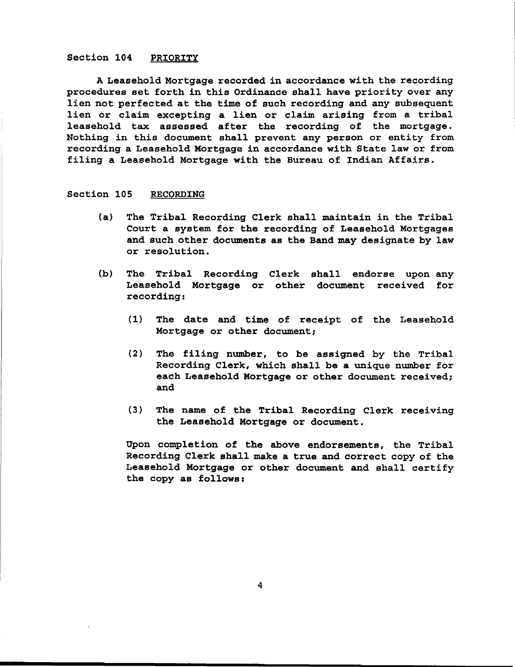#### Section 104 PRIORITY

A Leasehold Mortgage recorded in accordance with the recording procedures set forth in this Ordinance shall have priority over any lien not perfected at the time of such recording and any subsequent lien or claim excepting <sup>a</sup> lien or claim arising from <sup>a</sup> tribal leasehold tax assessed after the recording of the mortgage. Nothing in this document shall prevent any person or entity from recording a Leasehold Mortgage in accordance with State law or from filing <sup>a</sup> Leasehold Mortgage with the Bureau of Indian Affairs.

#### Section 105 RECORDING

- (a) The Tribal Recording Clerk shall maintain in the Tribal Court a system for the recording of Leasehold Mortgages and such other documents as the Band may designate by law or resolution.
- (b) The Tribal Recording Clerk shall endorse upon any Leasehold Mortgage or other document received for recording:
	- (1) The date and time of receipt of the Leasehold Mortgage or other document;
	- (2) The filing number, to be assigned by the Tribal Recording Clerk, which shall be a unique number for each Leasehold Mortgage or other document received; and
	- (3) The name of the Tribal Recording Clerk receiving the Leasehold Mortgage or document.

Upon completion of the above endorsements, the Tribal Recording Clerk shall make a true and correct copy of the Leasehold Mortgage or other document and shall certify the copy as follows:

4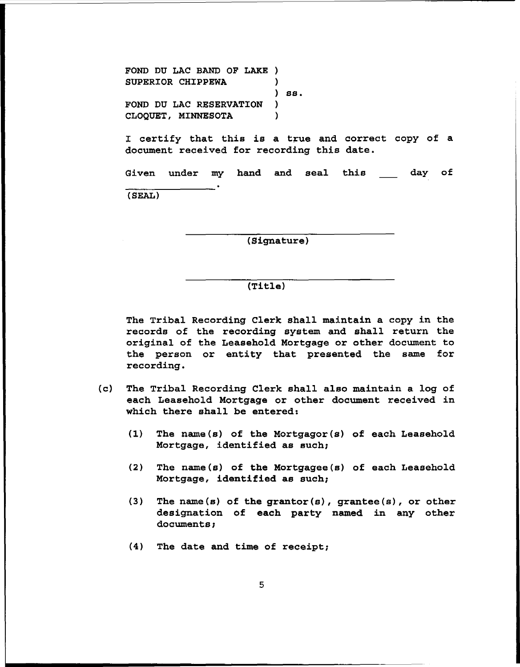FOND DU LAC BAND OF LAKE ) SUPERIOR CHIPPEWA ) ) ss. FOND DU LAC RESERVATION ) CLOQUET, MINNESOTA )

I certify that this is a true and correct copy of a document received for recording this date.

Given under my hand and seal this (SEAL) day of

(Signature)

#### (Title)

The Tribal Recording Clerk shall maintain a copy in the records of the recording system and shall return the original of the Leasehold Mortgage or other document to the person or entity that presented the same for recording.

- (c) The Tribal Recording Clerk shall also maintain a log of each Leasehold Mortgage or other document received in which there shall be entered:
	- (1) The name(s) of the Mortgagor(s) of each Leasehold Mortgage, identified as such;
	- (2) The name(s) of the Mortgagee(s) of each Leasehold Mortgage, identified as such;
	- (3) The name(s) of the grantor(s), grantee(s), or other designation of each party named in any other documents;
	- (4) The date and time of receipt;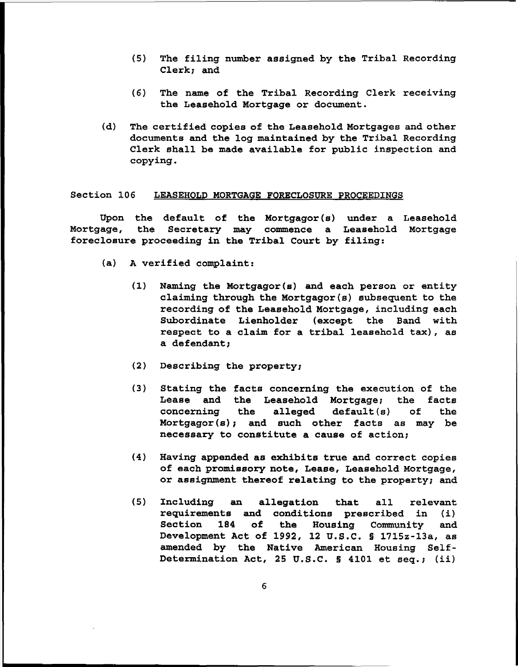- (5) The filing number assigned by the Tribal Recording Clerk; and
- (6) The name of the Tribal Recording Clerk receiving the Leasehold Mortgage or document.
- (d) The certified copies of the Leasehold Mortgages and other documents and the log maintained by the Tribal Recording Clerk shall be made available for public inspection and copying.

#### Section 106 LEASEHOLD MORTGAGE FORECLOSURE PROCEEDINGS

Upon the default of the Mortgagor(s) under a Leasehold Mortgage, the Secretary may commence a Leasehold Mortgage foreclosure proceeding in the Tribal Court by filing:

- (a) A verified complaint:
	- (1) Naming the Mortgagor(s) and each person or entity claiming through the Mortgagor(s) subsequent to the recording of the Leasehold Mortgage, including each Subordinate Lienholder (except the Band with respect to <sup>a</sup> claim for <sup>a</sup> tribal leasehold tax), as a defendant;
	- (2) Describing the property;
	- (3) Stating the facts concerning the execution of the Lease and the Leasehold Mortgage; the facts concerning the alleged default(s) of the Mortgagor( $s$ ); and such other facts as may be necessary to constitute a cause of action;
	- (4) Having appended as exhibits true and correct copies of each promissory note, Lease, Leasehold Mortgage, or assignment thereof relating to the property; and
	- (5) Including an allegation that all relevant requirements and conditions prescribed in (i) Section 184 of the Housing Community and Development Act of 1992, 12 U.S.C. § 1715z-13a, as amended by the Native American Housing Self-Determination Act, 25 U.S.C.  $\S$  4101 et seq.; (ii)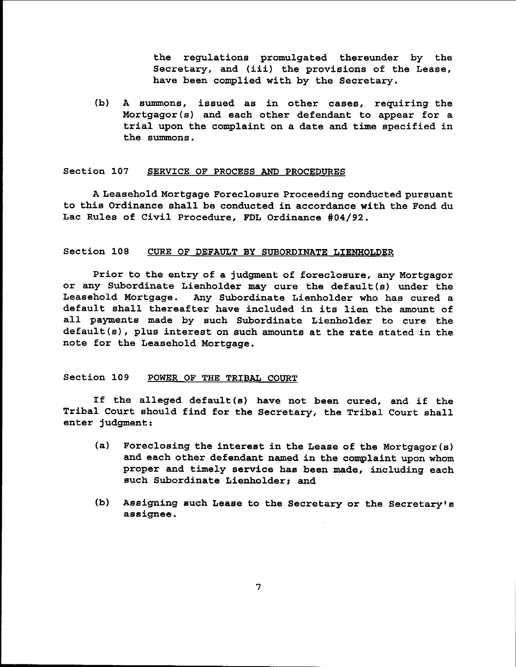the regulations promulgated thereunder by the Secretary, and (iii) the provisions of the Lease, have been complied with by the Secretary.

(b) A summons, issued as in other cases, requiring the Mortgagor(s) and each other defendant to appear for a trial upon the complaint on <sup>a</sup> date and time specified in the summons.

#### Section 107 SERVICE OF PROCESS AND PROCEDURES

A Leasehold Mortgage Foreclosure Proceeding conducted pursuant to this Ordinance shall be conducted in accordance with the Fond du Lac Rules of Civil Procedure, FDL Ordinance #04/92.

#### Section 108 CURE OF DEFAULT BY SUBORDINATE LIENHOLDER

Prior to the entry of a judgment of foreclosure, any Mortgagor or any Subordinate Lienholder may cure the default(s) under the Leasehold Mortgage. Any Subordinate Lienholder who has cured a default shall thereafter have included in its lien the amount of all paYments made by such Subordinate Lienholder to cure the default(s), plus interest on such amounts at the rate stated in the note for the Leasehold Mortgage.

## Section 109 POWER OF THE TRIBAL COURT

If the alleged default(s) have not been cured, and if the Tribal Court should find for the Secretary, the Tribal Court shall enter judgment:

- (a) Foreclosing the interest in the Lease of the Mortgagor (s) and each other defendant named in the complaint upon whom proper and timely service has been made, including each such Subordinate Lienholder; and
- (b) Assigning such Lease to the Secretary or the Secretary's assignee.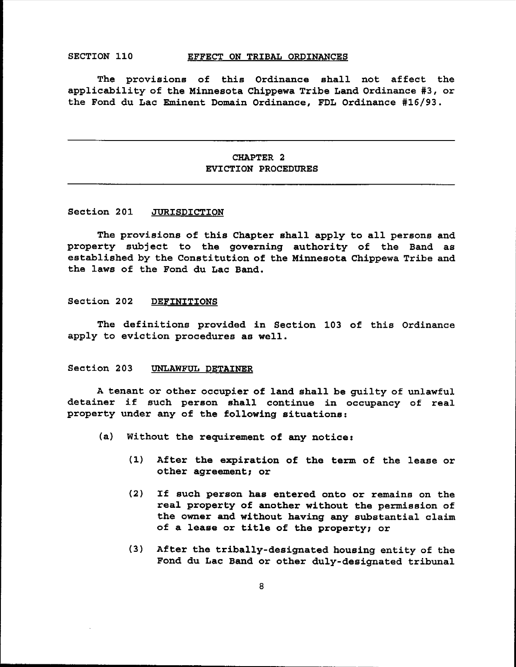#### SECTION 110 EFFECT ON TRIBAL ORDINANCES

The provisions of this Ordinance shall not affect the applicability of the Minnesota Chippewa Tribe Land Ordinance #3, or the Fond du Lac Eminent Domain Ordinance, FDL Ordinance #16/93.

# CHAPTER 2 EVICTION PROCEDURES

#### Section 201 JURISDICTION

The provisions of this Chapter shall apply to all persons and property subject to the governing authority of the Band as established by the Constitution of the Minnesota Chippewa Tribe and the laws of the Fond du Lac Band.

#### Section 202 DEFINITIONS

The definitions provided in Section 103 of this Ordinance apply to eviction procedures as well.

#### Section 203 UNLAWFUL DETAINER

<sup>A</sup> tenant or other occupier of land shall be guilty of unlawful detainer if such person shall continue in occupancy of real property under any of the following situations:

- (a) Without the requirement of any notice:
	- $(1)$  After the expiration of the term of the lease or other agreement; or
	- (2) If such person has entered onto or remains on the real property of another without the permission of the owner and without having any substantial claim of <sup>a</sup> lease or title of the property; or
	- (3) After the tribally-designated housing entity of the Fond du Lac Band or other duly-designated tribunal

8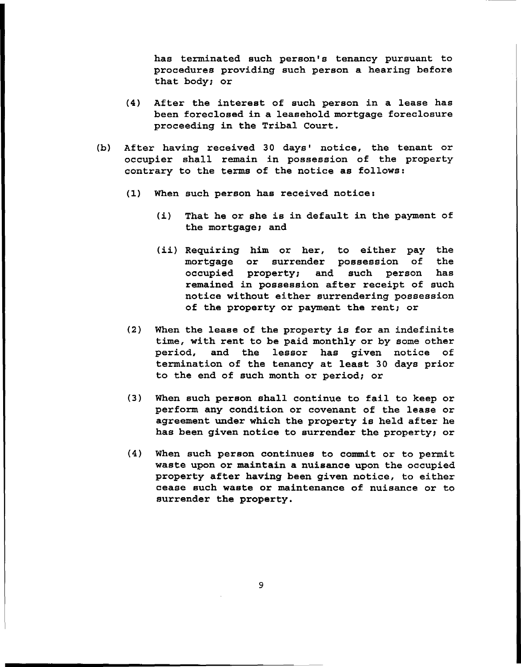has terminated such person's tenancy pursuant to procedures providing such person a hearing before that body; or

- (4) After the interest of such person in <sup>a</sup> lease has been foreclosed in a leasehold mortgage foreclosure proceeding in the Tribal Court.
- (b) After having received 30 days' notice, the tenant or occupier shall remain in possession of the property contrary to the terms of the notice as follows:
	- (1) When such person has received notice:
		- (i) That he or she is in default in the payment of the mortgage; and
		- (ii) Requiring him or her, to either pay the mortgage or surrender possession of the occupied property; and such person has remained in possession after receipt of such notice without either surrendering possession of the property or payment the rent; or
	- (2) When the lease of the property is for an indefinite time, with rent to be paid monthly or by some other period, and the lessor has given notice of termination of the tenancy at least <sup>30</sup> days prior to the end of such month or period; or
	- (3) When such person shall continue to fail to keep or perform any condition or covenant of the lease or agreement under which the property is held after he has been given notice to surrender the property; or
	- (4) When such person continues to commit or to permit waste upon or maintain a nuisance upon the occupied property after having been given notice, to either cease such waste or maintenance of nuisance or to surrender the property.

9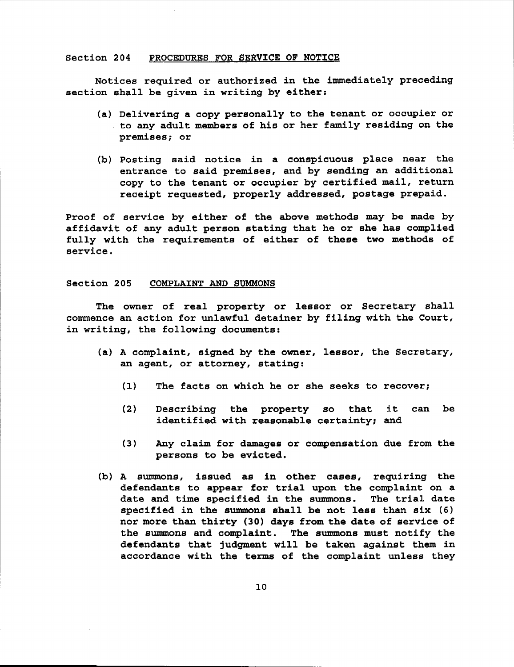#### Section 204 PROCEDURES FOR SERVICE OF NOTICE

Notices required or authorized in the immediately preceding section shall be given in writing by either:

- (a) Delivering a copy personally to the tenant or occupier or to any adult members of his or her family residing on the premises; or
- (b) Posting said notice in a conspicuous place near the entrance to said premises, and by sending an additional copy to the tenant or occupier by certified mail, return receipt requested, properly addressed, postage prepaid.

Proof of service by either of the above methods may be made by affidavit of any adult person stating that he or she has complied fully with the requirements of either of these two methods of service.

#### Section 205 COMPLAINT AND SUMMONS

The owner of real property or lessor or Secretary shall commence an action for unlawful detainer by filing with the Court, in writing, the following documents:

- (a) A complaint, signed by the owner, lessor, the Secretary, an agent, or attorney, stating:
	- (1) The facts on which he or she seeks to recover;
	- (2) Describing the property so that it can be identified with reasonable certainty; and
	- (3) Any claim for damages or compensation due from the persons to be evicted.
- (b) A summons, issued as in other cases, requiring the defendants to appear for trial upon the complaint on a date and time specified in the summons. The trial date date and time specified in the summons. specified in the summons shall be not less than six (6) nor more than thirty (30) days from the date of service of the summons and complaint. The summons must notify the defendants that jUdgment will be taken against them in accordance with the terms of the complaint unless they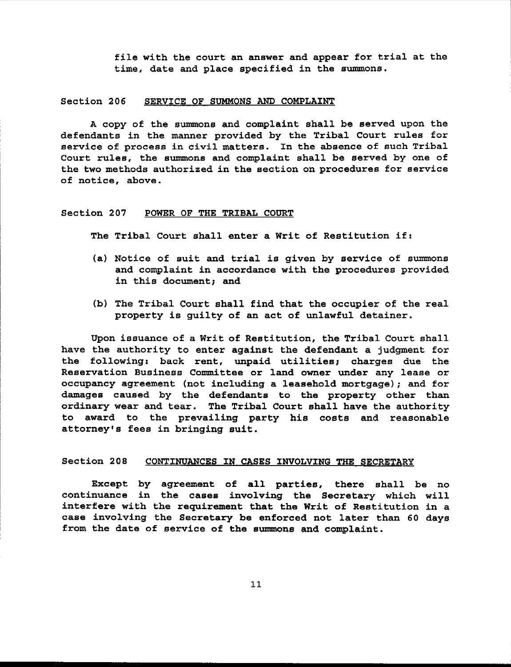file with the court an answer and appear for trial at the time, date and place specified in the summons.

#### Section 206 SERVICE OF SUMMONS AND COMPLAINT

A copy of the summons and complaint shall be served upon the defendants in the manner provided by the Tribal Court rules for service of process in civil matters. In the absence of such Tribal Court rules, the summons and complaint shall be served by one of the two methods authorized in the section on procedures for service of notice, above.

#### Section 207 POWER OF THE TRIBAL COURT

The Tribal Court shall enter <sup>a</sup> Writ of Restitution if:

- (a) Notice of suit and trial is given by service of summons and complaint in accordance with the procedures provided in this document; and
- (b) The Tribal Court shall find that the occupier of the real property is guilty of an act of unlawful detainer.

Upon issuance of a Writ of Restitution, the Tribal Court shall have the authority to enter against the defendant a judgment for the following: back rent, unpaid utilities; charges due the Reservation Business Committee or land owner under any lease or occupancy agreement (not including a leasehold mortgage); and for damages caused by the defendants to the property other than ordinary wear and tear. The Tribal Court shall have the authority to award to the prevailing party his costs and reasonable attorney's fees in bringing suit.

#### Section 208 CONTINUANCES IN CASES INVOLVING THE SECRETARY

Except by agreement of all parties, there shall be no continuance in the cases involving the Secretary which will interfere with the requirement that the Writ of Restitution in <sup>a</sup> case involving the Secretary be enforced not later than <sup>60</sup> days from the date of service of the summons and complaint.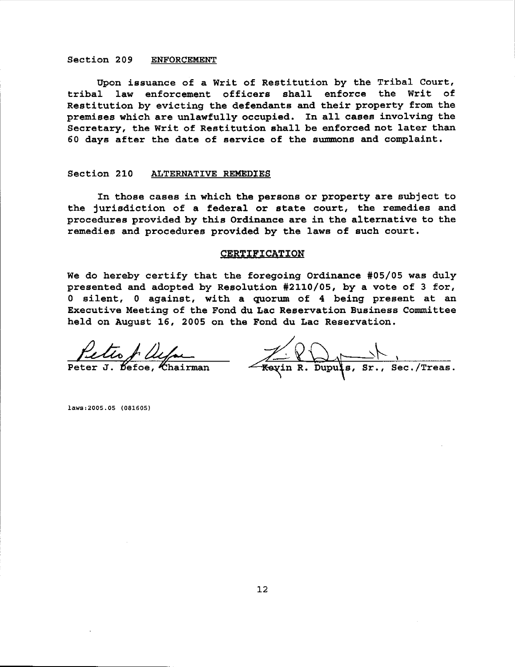#### Section 209 ENFORCEMENT

Upon issuance of a Writ of Restitution by the Tribal Court, tribal law enforcement officers shall enforce the Writ of Restitution by evicting the defendants and their property from the premises which are unlawfully occupied. In all cases involving the Secretary, the Writ of Restitution shall be enforced not later than <sup>60</sup> days after the date of service of the summons and complaint.

#### Section 210 ALTERNATIVE REMEDIES

In those cases in which the persons or property are subject to the jurisdiction of <sup>a</sup> federal or state court, the remedies and procedures provided by this Ordinance are in the alternative to the remedies and procedures provided by the laws of such court.

#### CERTIFICATION

We do hereby certify that the foregoing Ordinance #05/05 was duly presented and adopted by Resolution #2110/05, by a vote of 3 for, o silent, <sup>0</sup> against, with <sup>a</sup> quorum of <sup>4</sup> being present at an Executive Meeting of the Fond du Lac Reservation Business Committee held on August 16, 2005 on the Fond du Lac Reservation.

Peter J. Befoe, Chairman Keyin R. Dupus, Sr., Sec./Treas.

laws:2005.05 (081605)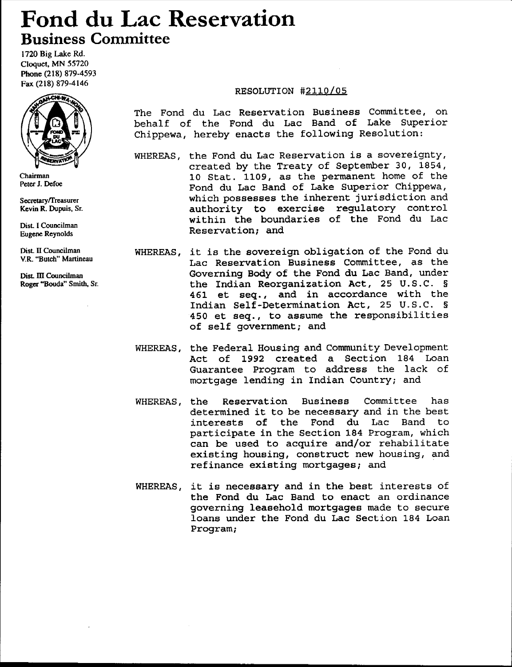# **Fond du Lac Reservation Business Committee**

1720 Big Lake Rd. Cloquet. MN 55720 Phone (218) 879-4593 Fax (218) 879-4146



Chairman Peter 1. Defoe

Secretary/Treasurer Kevin R. Dupuis. Sr.

Dist. I Councilman Eugene Reynolds

Dist II Councilman Y.R. "Butch" Martineau

Dist. III Councilman Roger "Bouda" Smith, Sr.

# RESOLUTION #2110/05

The Fond du Lac Reservation Business Committee, on behalf of the Fond du Lac Band of Lake Superior Chippewa, hereby enacts the following Resolution:

- WHEREAS, the Fond du Lac Reservation is <sup>a</sup> sovereignty, created by the Treaty of September 30, 1854, 10 Stat. 1109, as the permanent home of the Fond du Lac Band of Lake Superior Chippewa, which possesses the inherent jurisdiction and authority to exercise regulatory control within the boundaries of the Fond du Lac Reservation; and
- WHEREAS, it is the sovereign obligation of the Fond du Lac Reservation Business Committee, as the Governing Body of the Fond du Lac Band, under the Indian Reorganization Act, 25 U.S.C. § 461 et seq., and in accordance with the Indian Self-Determination Act, 25 U.S.C. § 450 et seq., to assume the responsibilities of self government; and
- WHEREAS, the Federal Housing and Community Development Act of 1992 created a Section 184 Loan Guarantee Program to address the lack of mortgage lending in Indian Country; and
- WHEREAS, the Reservation Business Committee has determined *it* to be necessary and in the best interests of the Fond du Lac Band to participate in the Section 184 Program, which can be used to acquire and/or rehabilitate existing housing, construct new housing, and refinance existing mortgages; and
- WHEREAS, *it* is necessary and in the best interests of the Fond du Lac Band to enact an ordinance governing leasehold mortgages made to secure loans under the Fond du Lac Section 184 Loan Program;